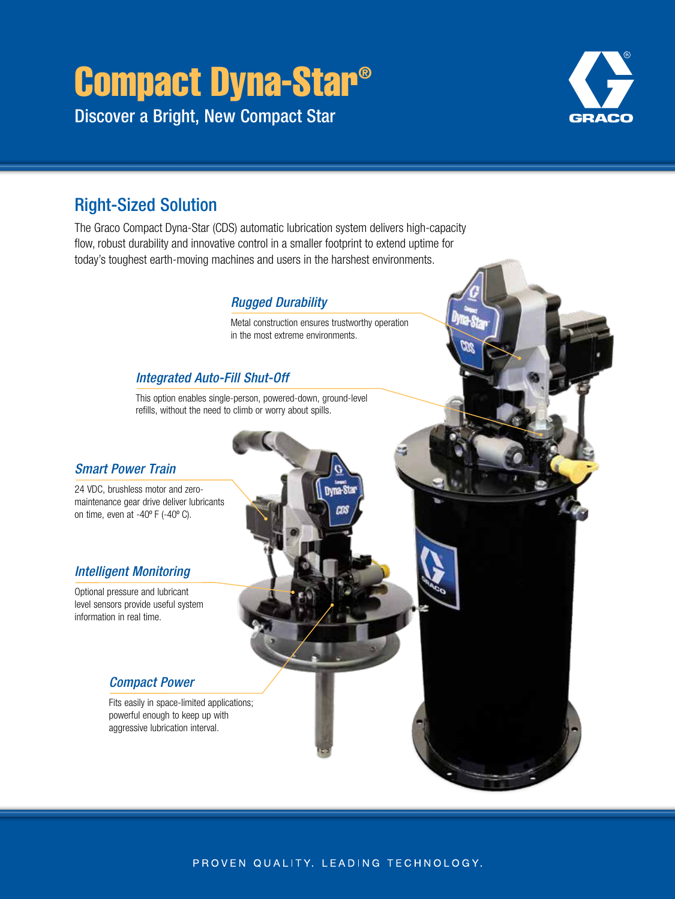# Compact Dyna-Star®

Discover a Bright, New Compact Star



# Right-Sized Solution

The Graco Compact Dyna-Star (CDS) automatic lubrication system delivers high-capacity flow, robust durability and innovative control in a smaller footprint to extend uptime for today's toughest earth-moving machines and users in the harshest environments.

## *Rugged Durability*

Metal construction ensures trustworthy operation in the most extreme environments.

## *Integrated Auto-Fill Shut-Off*

This option enables single-person, powered-down, ground-level refills, without the need to climb or worry about spills.

## *Smart Power Train*

24 VDC, brushless motor and zeromaintenance gear drive deliver lubricants on time, even at -40º F (-40º C).

## *Intelligent Monitoring*

Optional pressure and lubricant level sensors provide useful system information in real time.

## *Compact Power*

Fits easily in space-limited applications; powerful enough to keep up with aggressive lubrication interval.